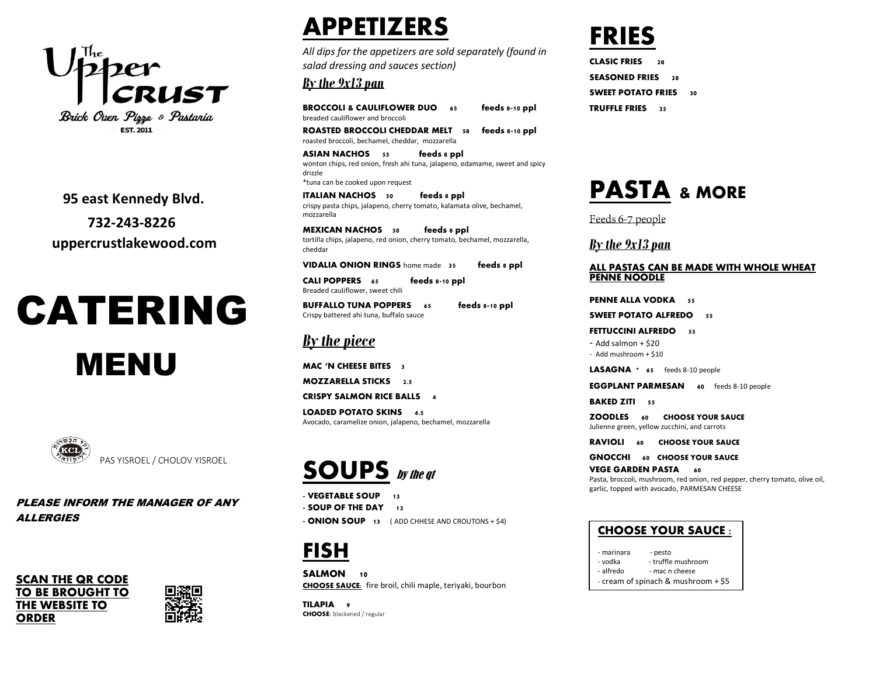## per !! CRUST Brick Oven Pizza & Pastaria **EST. 2011**

 **95 east Kennedy Blvd. 732-243-8226 uppercrustlakewood.com**

# CATERING MENU



PAS YISROEL / CHOLOV YISROEL

PLEASE INFORM THE MANAGER OF ANY **ALLERGIES** 

**SCAN THE QR CODE TO BE BROUGHT TO THE WEBSITE TO ORDER**



## **APPETIZERS**

*All dips for the appetizers are sold separately (found in salad dressing and sauces section)*

#### *By the 9x13 pan*

| <b>BROCCOLI &amp; CAULIFLOWER DUO</b><br>feeds 8-10 ppl<br>65<br>breaded cauliflower and broccoli                                                               |
|-----------------------------------------------------------------------------------------------------------------------------------------------------------------|
| <b>ROASTED BROCCOLI CHEDDAR MELT</b> 58<br>feeds 8-10 ppl<br>roasted broccoli, bechamel, cheddar, mozzarella                                                    |
| feeds a ppl<br>ASIAN NACHOS<br>55<br>wonton chips, red onion, fresh ahi tuna, jalapeno, edamame, sweet and spicy<br>drizzle<br>*tuna can be cooked upon request |
| ITALIAN NACHOS<br>feeds a ppl<br>50<br>crispy pasta chips, jalapeno, cherry tomato, kalamata olive, bechamel,<br>mozzarella                                     |
| <b>MEXICAN NACHOS</b> 50<br>feeds a ppl<br>tortilla chips, jalapeno, red onion, cherry tomato, bechamel, mozzarella,<br>cheddar                                 |
| <b>VIDALIA ONION RINGS</b> home made 35<br>feeds a ppl                                                                                                          |
| CALI POPPERS 65<br>feeds 8-10 ppl<br>Breaded cauliflower, sweet chili                                                                                           |
| <b>BUFFALLO TUNA POPPERS</b><br>feeds 8-10 ppl<br>65<br>Crispy battered ahi tuna, buffalo sauce                                                                 |
| <u>By the piece</u>                                                                                                                                             |
| <b>MAC 'N CHEESE BITES</b><br>3                                                                                                                                 |

**MOZZARELLA STICKS 2.5**

**CRISPY SALMON RICE BALLS 4**

**LOADED POTATO SKINS 4.5** Avocado, caramelize onion, jalapeno, bechamel, mozzarella

## **SOUPS** by the qt

- **VEGETABLE SOUP 13 - SOUP OF THE DAY 13 - ONION SOUP 13** ( ADD CHHESE AND CROUTONS + \$4)

## **FISH**

**SALMON 10** CHOOSE SAUCE: fire broil, chili maple, teriyaki, bourbon

**TILAPIA 9** CHOOSE: blackened / regular

## **FRIES**

**CLASIC FRIES 28 SEASONED FRIES** 28 **SWEET POTATO FRIES** 30 **TRUFFLE FRIES 35**

## **PASTA & MORE**

Feeds 6-7 people

#### *By the 9x13 pan*

#### ALL PASTAS CAN BE MADE WITH WHOLE WHEAT PENNE NOODLE

#### **PENNE ALLA VODKA** 55

#### **SWEET POTATO ALFREDO** 55

#### **FETTUCCINI ALFREDO** 55

- Add salmon + \$20

#### - Add mushroom + \$10

**LASAGNA \* 65** feeds 8-10 people

**EGGPLANT PARMESAN 60** feeds 8-10 people

**BAKED ZITI** 55

**ZOODLES 60** CHOOSE YOUR SAUCE Julienne green, yellow zucchini, and carrots

**RAVIOLI 60 CHOOSE YOUR SAUCE**

**GNOCCHI 60 CHOOSE YOUR SAUCE**

#### **VEGE GARDEN PASTA** 60 Pasta, broccoli, mushroom, red onion, red pepper, cherry tomato, olive oil,

garlic, topped with avocado, PARMESAN CHEESE

|                                    | <b>CHOOSE YOUR SAUCE:</b>                                                                |
|------------------------------------|------------------------------------------------------------------------------------------|
| - marinara<br>- vodka<br>- alfredo | - pesto<br>- truffle mushroom<br>- mac n cheese<br>- cream of spinach & mushroom $+$ \$5 |